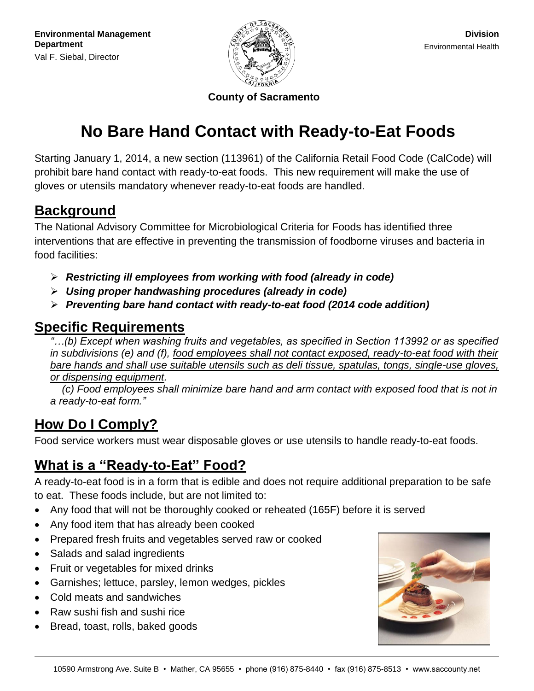

**County of Sacramento**

# **No Bare Hand Contact with Ready-to-Eat Foods**

Starting January 1, 2014, a new section (113961) of the California Retail Food Code (CalCode) will prohibit bare hand contact with ready-to-eat foods. This new requirement will make the use of gloves or utensils mandatory whenever ready-to-eat foods are handled.

## **Background**

The National Advisory Committee for Microbiological Criteria for Foods has identified three interventions that are effective in preventing the transmission of foodborne viruses and bacteria in food facilities:

- *Restricting ill employees from working with food (already in code)*
- *Using proper handwashing procedures (already in code)*
- *Preventing bare hand contact with ready-to-eat food (2014 code addition)*

## **Specific Requirements**

*"…(b) Except when washing fruits and vegetables, as specified in Section 113992 or as specified in subdivisions (e) and (f), food employees shall not contact exposed, ready-to-eat food with their bare hands and shall use suitable utensils such as deli tissue, spatulas, tongs, single-use gloves, or dispensing equipment.* 

 *(c) Food employees shall minimize bare hand and arm contact with exposed food that is not in a ready-to-eat form."*

# **How Do I Comply?**

Food service workers must wear disposable gloves or use utensils to handle ready-to-eat foods.

# **What is a "Ready-to-Eat" Food?**

A ready-to-eat food is in a form that is edible and does not require additional preparation to be safe to eat. These foods include, but are not limited to:

- Any food that will not be thoroughly cooked or reheated (165F) before it is served
- Any food item that has already been cooked
- Prepared fresh fruits and vegetables served raw or cooked
- Salads and salad ingredients
- Fruit or vegetables for mixed drinks
- Garnishes; lettuce, parsley, lemon wedges, pickles
- Cold meats and sandwiches
- Raw sushi fish and sushi rice
- Bread, toast, rolls, baked goods